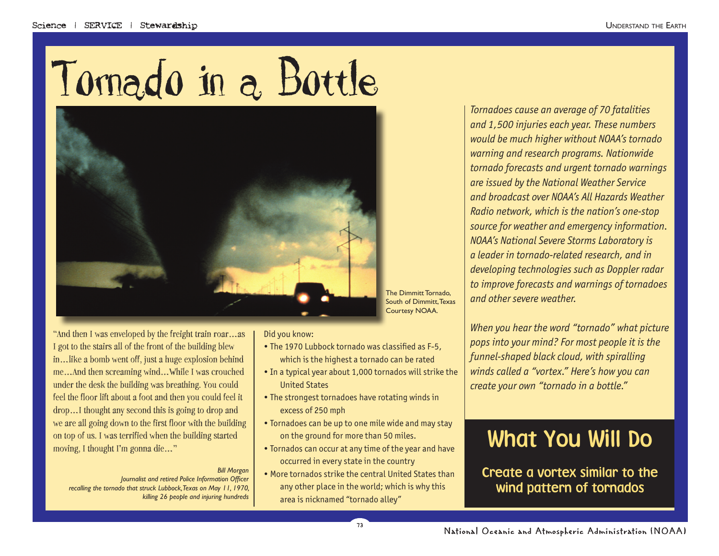



"And then I was enveloped by the freight train roar…as I got to the stairs all of the front of the building blew in…like a bomb went off, just a huge explosion behind me…And then screaming wind…While I was crouched under the desk the building was breathing. You could feel the floor lift about a foot and then you could feel it drop…I thought any second this is going to drop and we are all going down to the first floor with the building on top of us. I was terrified when the building started moving, I thought I'm gonna die…"

#### *Bill Morgan*

*Journalist and retired Police Information Officer recalling the tornado that struck Lubbock, Texas on May 11, 1970, killing 26 people and injuring hundreds*

#### Did you know:

- The 1970 Lubbock tornado was classified as F-5. which is the highest a tornado can be rated
- In a typical year about 1,000 tornados will strike the United States
- The strongest tornadoes have rotating winds in excess of 250 mph
- Tornadoes can be up to one mile wide and may stay on the ground for more than 50 miles.
- Tornados can occur at any time of the year and have occurred in every state in the country
- More tornados strike the central United States than any other place in the world; which is why this area is nicknamed "tornado alley"

*Tornadoes cause an average of 70 fatalities and 1,500 injuries each year. These numbers would be much higher without NOAA's tornado warning and research programs. Nationwide tornado forecasts and urgent tornado warnings are issued by the National Weather Service and broadcast over NOAA's All Hazards Weather Radio network, which is the nation's one-stop source for weather and emergency information. NOAA's National Severe Storms Laboratory is a leader in tornado-related research, and in developing technologies such as Doppler radar to improve forecasts and warnings of tornadoes and other severe weather.*

*When you hear the word "tornado" what picture pops into your mind? For most people it is the funnel-shaped black cloud, with spiralling winds called a "vortex." Here's how you can create your own "tornado in a bottle."*

# What You Will Do

Create a vortex similar to the wind pattern of tornados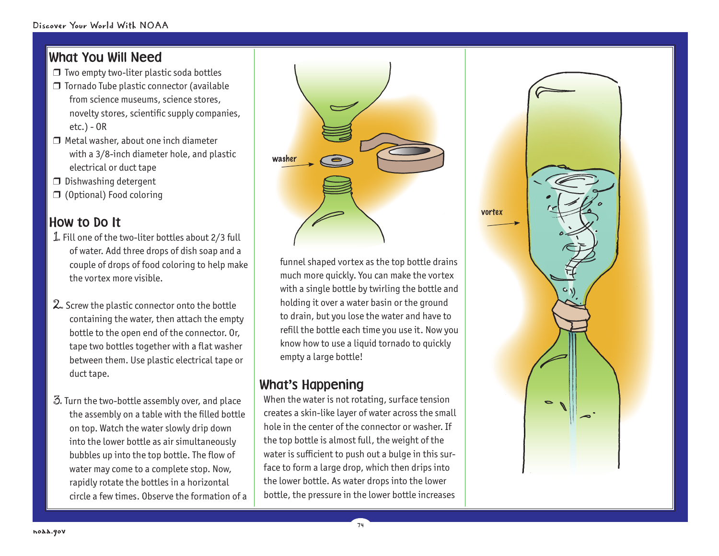## What You Will Need

- ❒ Two empty two-liter plastic soda bottles
- ❒ Tornado Tube plastic connector (available from science museums, science stores, novelty stores, scientific supply companies, etc.) - OR
- ❒ Metal washer, about one inch diameter with a 3/8-inch diameter hole, and plastic electrical or duct tape
- ❒ Dishwashing detergent
- ❒ (Optional) Food coloring

## How to Do It

- 1. Fill one of the two-liter bottles about 2/3 full of water. Add three drops of dish soap and a couple of drops of food coloring to help make the vortex more visible.
- $2$ . Screw the plastic connector onto the bottle containing the water, then attach the empty bottle to the open end of the connector. Or, tape two bottles together with a flat washer between them. Use plastic electrical tape or duct tape.
- 3. Turn the two-bottle assembly over, and place the assembly on a table with the filled bottle on top. Watch the water slowly drip down into the lower bottle as air simultaneously bubbles up into the top bottle. The flow of water may come to a complete stop. Now, rapidly rotate the bottles in a horizontal circle a few times. Observe the formation of a



funnel shaped vortex as the top bottle drains much more quickly. You can make the vortex with a single bottle by twirling the bottle and holding it over a water basin or the ground to drain, but you lose the water and have to refill the bottle each time you use it. Now you know how to use a liquid tornado to quickly empty a large bottle!

# What's Happening

When the water is not rotating, surface tension creates a skin-like layer of water across the small hole in the center of the connector or washer. If the top bottle is almost full, the weight of the water is sufficient to push out a bulge in this surface to form a large drop, which then drips into the lower bottle. As water drops into the lower bottle, the pressure in the lower bottle increases

74